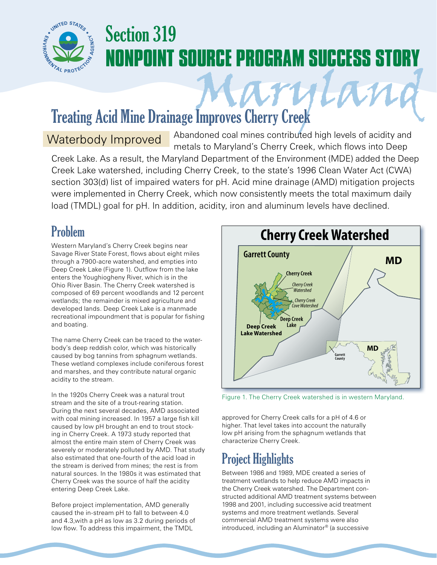

## Section 319 **NONPOINT SOURCE PROGRAM SUCCESS STORY**

# Treating Acid Mine Drainage Improves Cherry Creek

Abandoned coal mines contributed high levels of acidity and metals to Maryland's Cherry Creek, which flows into Deep Creek Lake. As a result, the Maryland Department of the Environment (MDE) added the Deep Creek Lake watershed, including Cherry Creek, to the state's 1996 Clean Water Act (CWA) section 303(d) list of impaired waters for pH. Acid mine drainage (AMD) mitigation projects were implemented in Cherry Creek, which now consistently meets the total maximum daily load (TMDL) goal for pH. In addition, acidity, iron and aluminum levels have declined. Waterbody Improved

#### Problem

Western Maryland's Cherry Creek begins near Savage River State Forest, flows about eight miles through a 7900-acre watershed, and empties into Deep Creek Lake (Figure 1). Outflow from the lake enters the Youghiogheny River, which is in the Ohio River Basin. The Cherry Creek watershed is composed of 69 percent woodlands and 12 percent wetlands; the remainder is mixed agriculture and developed lands. Deep Creek Lake is a manmade recreational impoundment that is popular for fishing and boating.

The name Cherry Creek can be traced to the waterbody's deep reddish color, which was historically caused by bog tannins from sphagnum wetlands. These wetland complexes include coniferous forest and marshes, and they contribute natural organic acidity to the stream.

In the 1920s Cherry Creek was a natural trout stream and the site of a trout-rearing station. During the next several decades, AMD associated with coal mining increased. In 1957 a large fish kill caused by low pH brought an end to trout stocking in Cherry Creek. A 1973 study reported that almost the entire main stem of Cherry Creek was severely or moderately polluted by AMD. That study also estimated that one-fourth of the acid load in the stream is derived from mines; the rest is from natural sources. In the 1980s it was estimated that Cherry Creek was the source of half the acidity entering Deep Creek Lake.

Before project implementation, AMD generally caused the in-stream pH to fall to between 4.0 and 4.3,with a pH as low as 3.2 during periods of low flow. To address this impairment, the TMDL



Figure 1. The Cherry Creek watershed is in western Maryland.

approved for Cherry Creek calls for a pH of 4.6 or higher. That level takes into account the naturally low pH arising from the sphagnum wetlands that characterize Cherry Creek.

### Project Highlights

Between 1986 and 1989, MDE created a series of treatment wetlands to help reduce AMD impacts in the Cherry Creek watershed. The Department constructed additional AMD treatment systems between 1998 and 2001, including successive acid treatment systems and more treatment wetlands. Several commercial AMD treatment systems were also introduced, including an Aluminator® (a successive